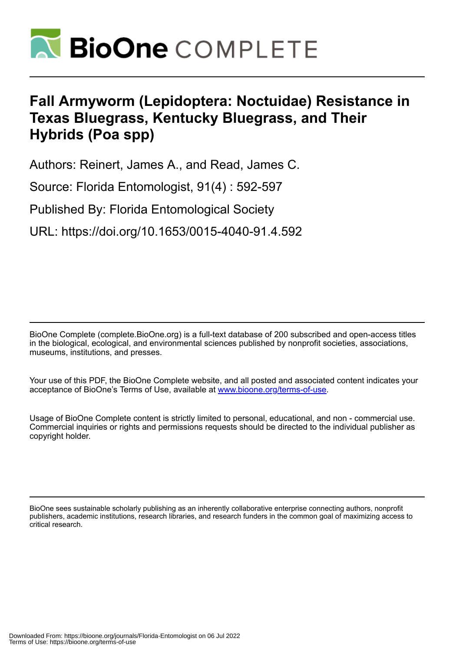

# **Fall Armyworm (Lepidoptera: Noctuidae) Resistance in Texas Bluegrass, Kentucky Bluegrass, and Their Hybrids (Poa spp)**

Authors: Reinert, James A., and Read, James C.

Source: Florida Entomologist, 91(4) : 592-597

Published By: Florida Entomological Society

URL: https://doi.org/10.1653/0015-4040-91.4.592

BioOne Complete (complete.BioOne.org) is a full-text database of 200 subscribed and open-access titles in the biological, ecological, and environmental sciences published by nonprofit societies, associations, museums, institutions, and presses.

Your use of this PDF, the BioOne Complete website, and all posted and associated content indicates your acceptance of BioOne's Terms of Use, available at www.bioone.org/terms-of-use.

Usage of BioOne Complete content is strictly limited to personal, educational, and non - commercial use. Commercial inquiries or rights and permissions requests should be directed to the individual publisher as copyright holder.

BioOne sees sustainable scholarly publishing as an inherently collaborative enterprise connecting authors, nonprofit publishers, academic institutions, research libraries, and research funders in the common goal of maximizing access to critical research.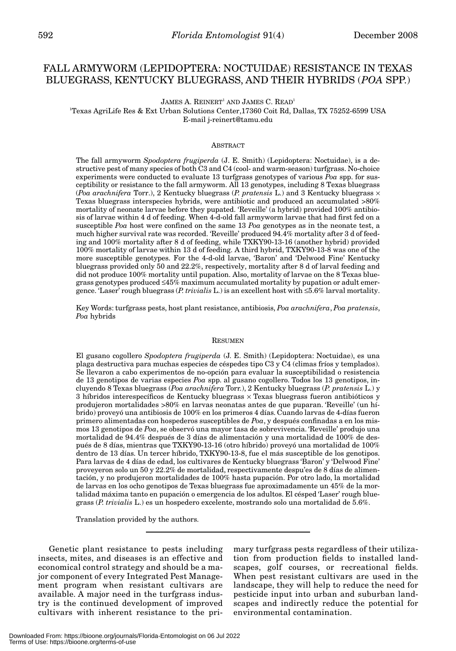## FALL ARMYWORM (LEPIDOPTERA: NOCTUIDAE) RESISTANCE IN TEXAS BLUEGRASS, KENTUCKY BLUEGRASS, AND THEIR HYBRIDS (*POA* SPP.)

 $JAMES A. REINERT<sup>1</sup> AND JAMES C. READ<sup>1</sup>$ 

1 Texas AgriLife Res & Ext Urban Solutions Center,17360 Coit Rd, Dallas, TX 75252-6599 USA E-mail j-reinert@tamu.edu

## ABSTRACT

The fall armyworm *Spodoptera frugiperda* (J. E. Smith) (Lepidoptera: Noctuidae), is a destructive pest of many species of both C3 and C4 (cool- and warm-season) turfgrass. No-choice experiments were conducted to evaluate 13 turfgrass genotypes of various *Poa* spp. for susceptibility or resistance to the fall armyworm. All 13 genotypes, including 8 Texas bluegrass (*Poa arachnifera* Torr.), 2 Kentucky bluegrass (*P. pratensis* L.) and 3 Kentucky bluegrass  $\times$ Texas bluegrass interspecies hybrids, were antibiotic and produced an accumulated >80% mortality of neonate larvae before they pupated. 'Reveille' (a hybrid) provided 100% antibiosis of larvae within 4 d of feeding. When 4-d-old fall armyworm larvae that had first fed on a susceptible *Poa* host were confined on the same 13 *Poa* genotypes as in the neonate test, a much higher survival rate was recorded. 'Reveille' produced 94.4% mortality after 3 d of feeding and 100% mortality after 8 d of feeding, while TXKY90-13-16 (another hybrid) provided 100% mortality of larvae within 13 d of feeding. A third hybrid, TXKY90-13-8 was one of the more susceptible genotypes. For the 4-d-old larvae, 'Baron' and 'Delwood Fine' Kentucky bluegrass provided only 50 and 22.2%, respectively, mortality after 8 d of larval feeding and did not produce 100% mortality until pupation. Also, mortality of larvae on the 8 Texas bluegrass genotypes produced ≤45% maximum accumulated mortality by pupation or adult emergence. 'Laser' rough bluegrass (*P.trivialis* L.) is an excellent host with ≤5.6% larval mortality.

Key Words: turfgrass pests, host plant resistance, antibiosis, *Poa arachnifera*, *Poa pratensis*, *Poa* hybrids

### RESUMEN

El gusano cogollero *Spodoptera frugiperda* (J. E. Smith) (Lepidoptera: Noctuidae), es una plaga destructiva para muchas especies de céspedes tipo C3 y C4 (climas fríos y templados). Se llevaron a cabo experimentos de no-opción para evaluar la susceptibilidad o resistencia de 13 genotipos de varias especies *Poa* spp. al gusano cogollero. Todos los 13 genotipos, incluyendo 8 Texas bluegrass (*Poa arachnifera* Torr.), 2 Kentucky bluegrass (*P. pratensis* L.) y 3 híbridos interespecíficos de Kentucky bluegrass × Texas bluegrass fueron antibióticos y produjeron mortalidades >80% en larvas neonatas antes de que puparan. 'Reveille' (un híbrido) proveyó una antibiosis de 100% en los primeros 4 días. Cuando larvas de 4-días fueron primero alimentadas con hospederos susceptibles de *Poa*, y después confinadas a en los mismos 13 genotipos de *Poa*, se observó una mayor tasa de sobrevivencia. 'Reveille' produjo una mortalidad de 94.4% después de 3 días de alimentación y una mortalidad de 100% de después de 8 días, mientras que TXKY90-13-16 (otro híbrido) proveyó una mortalidad de 100% dentro de 13 días. Un tercer híbrido, TXKY90-13-8, fue el más susceptible de los genotipos. Para larvas de 4 días de edad, los cultivares de Kentucky bluegrass 'Baron' y 'Delwood Fine' proveyeron solo un 50 y 22.2% de mortalidad, respectivamente despu'es de 8 días de alimentación, y no produjeron mortalidades de 100% hasta pupación. Por otro lado, la mortalidad de larvas en los ocho genotipos de Texas bluegrass fue aproximadamente un 45% de la mortalidad máxima tanto en pupación o emergencia de los adultos. El césped 'Laser' rough bluegrass (*P. trivialis* L.) es un hospedero excelente, mostrando solo una mortalidad de 5.6%.

Translation provided by the authors.

Genetic plant resistance to pests including insects, mites, and diseases is an effective and economical control strategy and should be a major component of every Integrated Pest Management program when resistant cultivars are available. A major need in the turfgrass industry is the continued development of improved cultivars with inherent resistance to the primary turfgrass pests regardless of their utilization from production fields to installed landscapes, golf courses, or recreational fields. When pest resistant cultivars are used in the landscape, they will help to reduce the need for pesticide input into urban and suburban landscapes and indirectly reduce the potential for environmental contamination.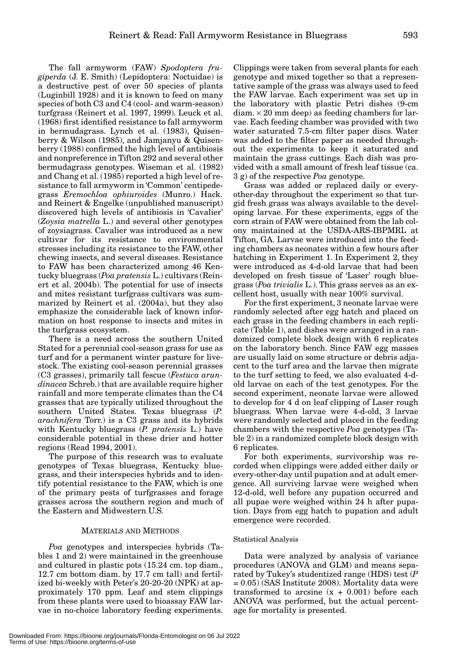The fall armyworm (FAW) *Spodoptera frugiperda* (J. E. Smith) (Lepidoptera: Noctuidae) is a destructive pest of over 50 species of plants (Luginbill 1928) and it is known to feed on many species of both C3 and C4 (cool- and warm-season) turfgrass (Reinert et al. 1997, 1999). Leuck et al. (1968) first identified resistance to fall armyworm in bermudagrass. Lynch et al. (1983), Quisenberry & Wilson (1985), and Jamjanyu & Quisenberry (1988) confirmed the high level of antibiosis and nonpreference in Tifton 292 and several other bermudagrass genotypes. Wiseman et al. (1982) and Chang et al. (1985) reported a high level of resistance to fall armyworm in 'Common' centipedegrass *Eremochloa ophiuroides* (Munro.) Hack. and Reinert & Engelke (unpublished manuscript) discovered high levels of antibiosis in 'Cavalier' (*Zoysia matrella* L.) and several other genotypes of zoysiagrass. Cavalier was introduced as a new cultivar for its resistance to environmental stresses including its resistance to the FAW, other chewing insects, and several diseases. Resistance to FAW has been characterized among 46 Kentucky bluegrass (*Poa pratensis* L.) cultivars (Reinert et al. 2004b). The potential for use of insects and mites resistant turfgrass cultivars was summarized by Reinert et al. (2004a), but they also emphasize the considerable lack of known information on host response to insects and mites in the turfgrass ecosystem.

There is a need across the southern United Stated for a perennial cool-season grass for use as turf and for a permanent winter pasture for livestock. The existing cool-season perennial grasses (C3 grasses), primarily tall fescue (*Festuca arundinacea* Schreb.) that are available require higher rainfall and more temperate climates than the C4 grasses that are typically utilized throughout the southern United States. Texas bluegrass (*P. arachnifera* Torr.) is a C3 grass and its hybrids with Kentucky bluegrass (*P. pratensis* L.) have considerable potential in these drier and hotter regions (Read 1994, 2001).

The purpose of this research was to evaluate genotypes of Texas bluegrass, Kentucky bluegrass, and their interspecies hybrids and to identify potential resistance to the FAW, which is one of the primary pests of turfgrasses and forage grasses across the southern region and much of the Eastern and Midwestern U.S.

## MATERIALS AND METHODS

*Poa* genotypes and interspecies hybrids (Tables 1 and 2) were maintained in the greenhouse and cultured in plastic pots (15.24 cm. top diam., 12.7 cm bottom diam. by 17.7 cm tall) and fertilized bi-weekly with Peter's 20-20-20 (NPK) at approximately 170 ppm. Leaf and stem clippings from these plants were used to bioassay FAW larvae in no-choice laboratory feeding experiments. Clippings were taken from several plants for each genotype and mixed together so that a representative sample of the grass was always used to feed the FAW larvae. Each experiment was set up in the laboratory with plastic Petri dishes (9-cm  $diam. \times 20$  mm deep) as feeding chambers for larvae. Each feeding chamber was provided with two water saturated 7.5-cm filter paper discs. Water was added to the filter paper as needed throughout the experiments to keep it saturated and maintain the grass cuttings. Each dish was provided with a small amount of fresh leaf tissue (ca. 3 g) of the respective *Poa* genotype.

Grass was added or replaced daily or everyother-day throughout the experiment so that turgid fresh grass was always available to the developing larvae. For these experiments, eggs of the corn strain of FAW were obtained from the lab colony maintained at the USDA-ARS-IBPMRL at Tifton, GA. Larvae were introduced into the feeding chambers as neonates within a few hours after hatching in Experiment 1. In Experiment 2, they were introduced as 4-d-old larvae that had been developed on fresh tissue of 'Laser' rough bluegrass (*Poa trivialis* L.). This grass serves as an excellent host, usually with near 100% survival.

For the first experiment, 3 neonate larvae were randomly selected after egg hatch and placed on each grass in the feeding chambers in each replicate (Table 1), and dishes were arranged in a randomized complete block design with 6 replicates on the laboratory bench. Since FAW egg masses are usually laid on some structure or debris adjacent to the turf area and the larvae then migrate to the turf setting to feed, we also evaluated 4-dold larvae on each of the test genotypes. For the second experiment, neonate larvae were allowed to develop for 4 d on leaf clipping of Laser rough bluegrass. When larvae were 4-d-old, 3 larvae were randomly selected and placed in the feeding chambers with the respective *Poa* genotypes (Table 2) in a randomized complete block design with 6 replicates.

For both experiments, survivorship was recorded when clippings were added either daily or every-other-day until pupation and at adult emergence. All surviving larvae were weighed when 12-d-old, well before any pupation occurred and all pupae were weighed within 24 h after pupation. Days from egg hatch to pupation and adult emergence were recorded.

### Statistical Analysis

Data were analyzed by analysis of variance procedures (ANOVA and GLM) and means separated by Tukey's studentized range (HDS) test (*P* = 0.05) (SAS Institute 2008). Mortality data were transformed to arcsine  $(x + 0.001)$  before each ANOVA was performed, but the actual percentage for mortality is presented.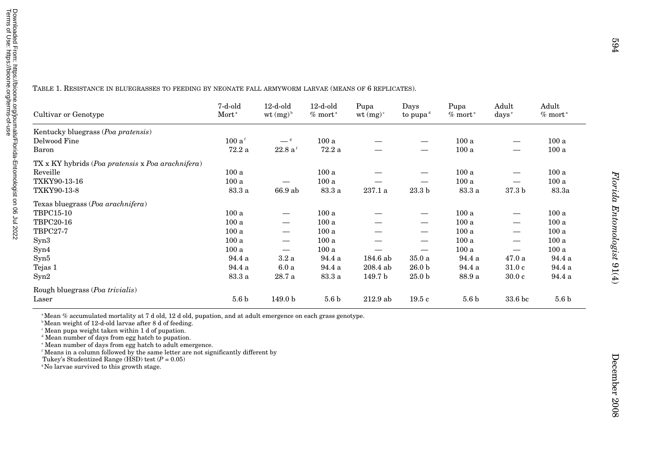| ierms of Use: https://bioone.org/terms-of-use<br>/nloaded From: https://bioone.org/journals/Florida-Entomologist on 06 Jul 2022 |
|---------------------------------------------------------------------------------------------------------------------------------|
|---------------------------------------------------------------------------------------------------------------------------------|

TABLE 1. RESISTANCE IN BLUEGRASSES TO FEEDING BY NEONATE FALL ARMYWORM LARVAE (MEANS OF 6 REPLICATES).

| Cultivar or Genotype                              | 7-d-old<br>Mort <sup>a</sup> | $12-d$ -old<br>wt $(mg)^b$    | $12$ -d-old<br>$%$ mort <sup>a</sup> | Pupa<br>wt $(mg)^c$ | Days<br>to pupa $\mathbf{d}$ | Pupa<br>$%$ mort <sup>a</sup> | Adult<br>days <sup>e</sup> | Adult<br>$\%$ mort <sup>a</sup> |
|---------------------------------------------------|------------------------------|-------------------------------|--------------------------------------|---------------------|------------------------------|-------------------------------|----------------------------|---------------------------------|
| Kentucky bluegrass (Poa pratensis)                |                              |                               |                                      |                     |                              |                               |                            |                                 |
| Delwood Fine                                      | 100a <sup>f</sup>            | $-$ s                         | 100a                                 |                     |                              | 100a                          |                            | 100a                            |
| Baron                                             | 72.2a                        | $22.8a$ <sup>f</sup>          | 72.2a                                |                     | —                            | 100a                          | —                          | 100a                            |
| TX x KY hybrids (Poa pratensis x Poa arachnifera) |                              |                               |                                      |                     |                              |                               |                            |                                 |
| Reveille                                          | 100a                         |                               | 100a                                 |                     | —                            | 100a                          |                            | 100a                            |
| TXKY90-13-16                                      | 100a                         | —                             | 100a                                 |                     |                              | 100a                          |                            | 100a                            |
| TXKY90-13-8                                       | 83.3 a                       | 66.9 ab                       | 83.3 a                               | 237.1 a             | 23.3 <sub>b</sub>            | 83.3 a                        | 37.3 <sub>b</sub>          | 83.3a                           |
| Texas bluegrass (Poa arachnifera)                 |                              |                               |                                      |                     |                              |                               |                            |                                 |
| <b>TBPC15-10</b>                                  | 100a                         |                               | 100a                                 |                     |                              | 100a                          |                            | 100a                            |
| TBPC20-16                                         | 100a                         | $\overbrace{\phantom{12333}}$ | 100a                                 |                     | $\overline{\phantom{0}}$     | 100a                          | $\hspace{0.05cm}$          | 100a                            |
| <b>TBPC27-7</b>                                   | 100a                         | $\overline{\phantom{0}}$      | 100a                                 |                     | $\overline{\phantom{0}}$     | 100a                          | —                          | 100a                            |
| Syn3                                              | 100a                         | —                             | 100a                                 |                     | —                            | 100a                          | —                          | 100a                            |
| Syn4                                              | 100a                         | $\overline{\phantom{0}}$      | 100a                                 |                     | —                            | 100a                          | —                          | 100a                            |
| Syn5                                              | 94.4 a                       | 3.2a                          | 94.4 a                               | 184.6 ab            | 35.0a                        | 94.4 a                        | 47.0a                      | 94.4 a                          |
| Tejas 1                                           | 94.4 a                       | 6.0a                          | 94.4 a                               | 208.4 ab            | 26.0 <sub>b</sub>            | 94.4 a                        | 31.0c                      | 94.4 a                          |
| Syn2                                              | 83.3 a                       | 28.7 a                        | 83.3 a                               | 149.7 b             | 25.0 <sub>b</sub>            | 88.9 a                        | 30.0c                      | 94.4 a                          |
| Rough bluegrass (Poa trivialis)                   |                              |                               |                                      |                     |                              |                               |                            |                                 |
| Laser                                             | 5.6 <sub>b</sub>             | 149.0 <sub>b</sub>            | 5.6 <sub>b</sub>                     | $212.9$ ab          | 19.5c                        | 5.6 <sub>b</sub>              | 33.6 bc                    | 5.6 <sub>b</sub>                |

a Mean % accumulated mortality at 7 d old, 12 d old, pupation, and at adult emergence on each grass genotype.

b Mean weight of 12-d-old larvae after 8 d of feeding.

 $^{\circ}$  Mean pupa weight taken within 1 d of pupation.<br><sup>d</sup> Mean number of days from egg hatch to pupation.

e Mean number of days from egg hatch to adult emergence. f Means in a column followed by the same letter are not significantly different by

Tukey's Studentized Range ( $\widehat{HSD}$ ) test ( $P = 0.05$ )

<sup>8</sup>No larvae survived to this growth stage.

Florida Entomologist 91(4)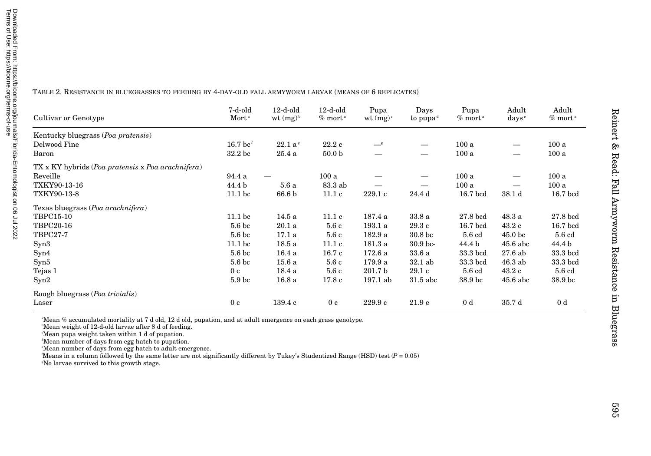| TABLE 2. RESISTANCE IN BLUEGRASSES TO FEEDING BY 4-DAY-OLD FALL ARMYWORM LARVAE (MEANS OF 6 REPLICATES) |  |  |
|---------------------------------------------------------------------------------------------------------|--|--|
|---------------------------------------------------------------------------------------------------------|--|--|

| Cultivar or Genotype                                                     | 7-d-old<br>Mort <sup>a</sup> | $12-d$ -old<br>wt $(mg)^b$ | $12-d$ -old<br>$%$ mort <sup>a</sup> | Pupa<br>$wt (mg)^c$ | Days<br>to pupa <sup>d</sup> | Pupa<br>$%$ mort <sup>a</sup> | Adult<br>$\rm days^{\circ}$ | Adult<br>$%$ mort <sup><math>a</math></sup> |
|--------------------------------------------------------------------------|------------------------------|----------------------------|--------------------------------------|---------------------|------------------------------|-------------------------------|-----------------------------|---------------------------------------------|
| Kentucky bluegrass (Poa pratensis)                                       |                              |                            |                                      |                     |                              |                               |                             |                                             |
| Delwood Fine                                                             | $16.7~{\rm bc}$ <sup>f</sup> | $22.1\ a^s$                | 22.2c                                | $-$ <sup>g</sup>    |                              | 100a                          |                             | 100a                                        |
| Baron                                                                    | 32.2 <sub>bc</sub>           | 25.4a                      | 50.0 <sub>b</sub>                    |                     |                              | 100a                          |                             | 100a                                        |
| $TX \times KY$ hybrids ( <i>Poa pratensis</i> x <i>Poa arachnifera</i> ) |                              |                            |                                      |                     |                              |                               |                             |                                             |
| Reveille                                                                 | 94.4 a                       |                            | 100a                                 |                     |                              | 100a                          |                             | 100a                                        |
| TXKY90-13-16                                                             | 44.4 b                       | 5.6a                       | 83.3 ab                              |                     |                              | 100a                          |                             | 100a                                        |
| TXKY90-13-8                                                              | 11.1 <sub>bc</sub>           | 66.6 b                     | 11.1c                                | 229.1c              | 24.4 d                       | $16.7$ bcd                    | 38.1 <sub>d</sub>           | 16.7 bcd                                    |
| Texas bluegrass (Poa arachnifera)                                        |                              |                            |                                      |                     |                              |                               |                             |                                             |
| TBPC15-10                                                                | 11.1 <sub>bc</sub>           | 14.5 a                     | 11.1c                                | 187.4 a             | 33.8a                        | 27.8 bcd                      | 48.3a                       | $27.8$ bcd                                  |
| <b>TBPC20-16</b>                                                         | 5.6 <sub>bc</sub>            | 20.1a                      | 5.6c                                 | 193.1 a             | 29.3c                        | $16.7$ bcd                    | 43.2c                       | $16.7$ bcd                                  |
| <b>TBPC27-7</b>                                                          | 5.6 <sub>bc</sub>            | 17.1a                      | 5.6c                                 | 182.9 a             | 30.8 bc                      | 5.6 cd                        | 45.0 <sub>bc</sub>          | 5.6 cd                                      |
| Syn3                                                                     | 11.1 <sub>bc</sub>           | 18.5a                      | 11.1c                                | 181.3 a             | 30.9 <sub>bc</sub>           | 44.4 b                        | $45.6$ abc                  | 44.4 b                                      |
| Syn4                                                                     | 5.6 <sub>bc</sub>            | 16.4a                      | 16.7c                                | 172.6 a             | 33.6a                        | 33.3 bcd                      | 27.6ab                      | 33.3 bcd                                    |
| Syn5                                                                     | 5.6 <sub>bc</sub>            | 15.6a                      | 5.6 c                                | 179.9 a             | $32.1$ ab                    | 33.3 bcd                      | $46.3$ ab                   | 33.3 bcd                                    |
| Tejas 1                                                                  | 0 <sub>c</sub>               | 18.4 a                     | 5.6c                                 | 201.7 <sub>b</sub>  | 29.1c                        | 5.6 cd                        | 43.2c                       | 5.6 cd                                      |
| Syn2                                                                     | 5.9 <sub>bc</sub>            | 16.8a                      | 17.8c                                | 197.1 ab            | $31.5$ abc                   | 38.9 bc                       | $45.6$ abc                  | 38.9 bc                                     |
| Rough bluegrass ( <i>Poa trivialis</i> )                                 |                              |                            |                                      |                     |                              |                               |                             |                                             |
| Laser                                                                    | 0 <sub>c</sub>               | 139.4c                     | 0 <sub>c</sub>                       | 229.9c              | 21.9e                        | 0 <sub>d</sub>                | 35.7 d                      | 0 d                                         |

<sup>a</sup>Mean % accumulated mortality at 7 d old, 12 d old, pupation, and at adult emergence on each grass genotype.

bMean weight of 12-d-old larvae after 8 d of feeding.

cMean pupa weight taken within 1 d of pupation. dMean number of days from egg hatch to pupation.

eMean number of days from egg hatch to adult emergence.

Means in a column followed by the same letter are not significantly different by Tukey's Studentized Range (HSD) test  $(P = 0.05)$ 

<sup>*s*</sup>No larvae survived to this growth stage.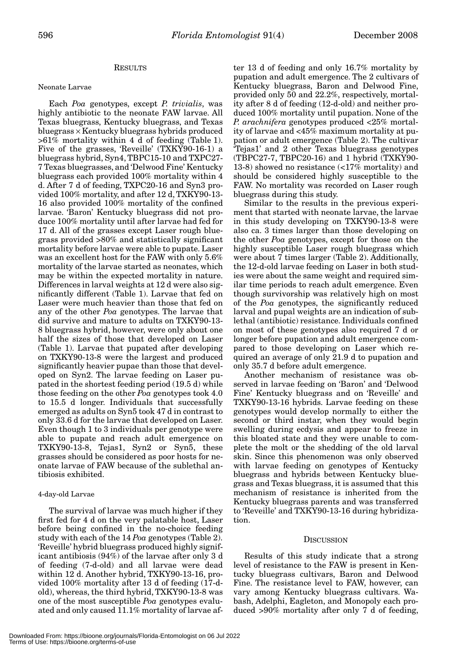## RESULTS

## Neonate Larvae

Each *Poa* genotypes, except *P. trivialis*, was highly antibiotic to the neonate FAW larvae. All Texas bluegrass, Kentucky bluegrass, and Texas bluegrass × Kentucky bluegrass hybrids produced >61% mortality within 4 d of feeding (Table 1). Five of the grasses, 'Reveille' (TXKY90-16-1) a bluegrass hybrid, Syn4, TBPC15-10 and TXPC27- 7 Texas bluegrasses, and 'Delwood Fine' Kentucky bluegrass each provided 100% mortality within 4 d. After 7 d of feeding, TXPC20-16 and Syn3 provided 100% mortality, and after 12 d, TXKY90-13- 16 also provided 100% mortality of the confined larvae. 'Baron' Kentucky bluegrass did not produce 100% mortality until after larvae had fed for 17 d. All of the grasses except Laser rough bluegrass provided >80% and statistically significant mortality before larvae were able to pupate. Laser was an excellent host for the FAW with only 5.6% mortality of the larvae started as neonates, which may be within the expected mortality in nature. Differences in larval weights at 12 d were also significantly different (Table 1). Larvae that fed on Laser were much heavier than those that fed on any of the other *Poa* genotypes. The larvae that did survive and mature to adults on TXKY90-13- 8 bluegrass hybrid, however, were only about one half the sizes of those that developed on Laser (Table 1). Larvae that pupated after developing on TXKY90-13-8 were the largest and produced significantly heavier pupae than those that developed on Syn2. The larvae feeding on Laser pupated in the shortest feeding period (19.5 d) while those feeding on the other *Poa* genotypes took 4.0 to 15.5 d longer. Individuals that successfully emerged as adults on Syn5 took 47 d in contrast to only 33.6 d for the larvae that developed on Laser. Even though 1 to 3 individuals per genotype were able to pupate and reach adult emergence on TXKY90-13-8, Tejas1, Syn2 or Syn5, these grasses should be considered as poor hosts for neonate larvae of FAW because of the sublethal antibiosis exhibited.

## 4-day-old Larvae

The survival of larvae was much higher if they first fed for 4 d on the very palatable host, Laser before being confined in the no-choice feeding study with each of the 14 *Poa* genotypes (Table 2). 'Reveille' hybrid bluegrass produced highly significant antibiosis (94%) of the larvae after only 3 d of feeding (7-d-old) and all larvae were dead within 12 d. Another hybrid, TXKY90-13-16, provided 100% mortality after 13 d of feeding (17-dold), whereas, the third hybrid, TXKY90-13-8 was one of the most susceptible *Poa* genotypes evaluated and only caused 11.1% mortality of larvae af-

ter 13 d of feeding and only 16.7% mortality by pupation and adult emergence. The 2 cultivars of Kentucky bluegrass, Baron and Delwood Fine, provided only 50 and 22.2%, respectively, mortality after 8 d of feeding (12-d-old) and neither produced 100% mortality until pupation. None of the *P. arachnifera* genotypes produced <25% mortality of larvae and <45% maximum mortality at pupation or adult emergence (Table 2). The cultivar 'Tejas1' and 2 other Texas bluegrass genotypes (TBPC27-7, TBPC20-16) and 1 hybrid (TXKY90- 13-8) showed no resistance (<17% mortality) and should be considered highly susceptible to the FAW. No mortality was recorded on Laser rough bluegrass during this study.

Similar to the results in the previous experiment that started with neonate larvae, the larvae in this study developing on TXKY90-13-8 were also ca. 3 times larger than those developing on the other *Poa* genotypes, except for those on the highly susceptible Laser rough bluegrass which were about 7 times larger (Table 2). Additionally, the 12-d-old larvae feeding on Laser in both studies were about the same weight and required similar time periods to reach adult emergence. Even though survivorship was relatively high on most of the *Poa* genotypes, the significantly reduced larval and pupal weights are an indication of sublethal (antibiotic) resistance. Individuals confined on most of these genotypes also required 7 d or longer before pupation and adult emergence compared to those developing on Laser which required an average of only 21.9 d to pupation and only 35.7 d before adult emergence.

Another mechanism of resistance was observed in larvae feeding on 'Baron' and 'Delwood Fine' Kentucky bluegrass and on 'Reveille' and TXKY90-13-16 hybrids. Larvae feeding on these genotypes would develop normally to either the second or third instar, when they would begin swelling during ecdysis and appear to freeze in this bloated state and they were unable to complete the molt or the shedding of the old larval skin. Since this phenomenon was only observed with larvae feeding on genotypes of Kentucky bluegrass and hybrids between Kentucky bluegrass and Texas bluegrass, it is assumed that this mechanism of resistance is inherited from the Kentucky bluegrass parents and was transferred to 'Reveille' and TXKY90-13-16 during hybridization.

### **DISCUSSION**

Results of this study indicate that a strong level of resistance to the FAW is present in Kentucky bluegrass cultivars, Baron and Delwood Fine. The resistance level to FAW, however, can vary among Kentucky bluegrass cultivars. Wabash, Adelphi, Eagleton, and Monopoly each produced >90% mortality after only 7 d of feeding,